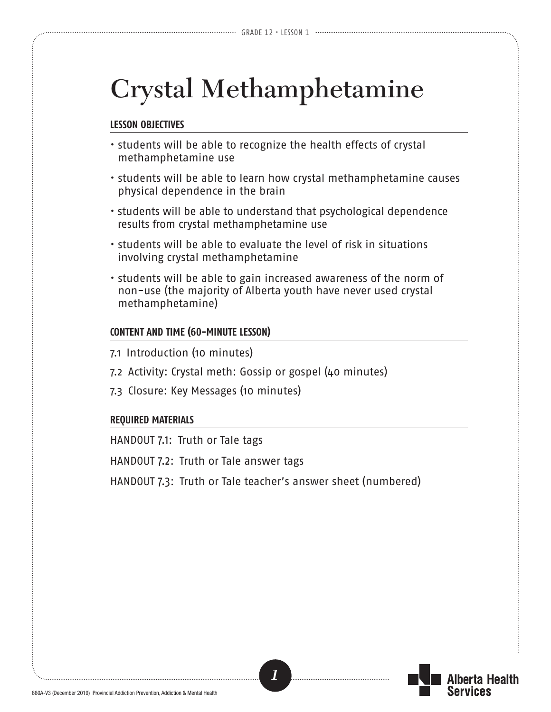# **Crystal Methamphetamine**

#### **LESSON OBJECTIVES**

- students will be able to recognize the health effects of crystal methamphetamine use
- students will be able to learn how crystal methamphetamine causes physical dependence in the brain
- students will be able to understand that psychological dependence results from crystal methamphetamine use
- students will be able to evaluate the level of risk in situations involving crystal methamphetamine
- students will be able to gain increased awareness of the norm of non-use (the majority of Alberta youth have never used crystal methamphetamine)

#### **CONTENT AND TIME (60-MINUTE LESSON)**

- 7.1 Introduction (10 minutes)
- 7.2 Activity: Crystal meth: Gossip or gospel (40 minutes)
- 7.3 Closure: Key Messages (10 minutes)

#### **REQUIRED MATERIALS**

HANDOUT 7.1: Truth or Tale tags

HANDOUT 7.2: Truth or Tale answer tags

HANDOUT 7.3: Truth or Tale teacher's answer sheet (numbered)



erta Health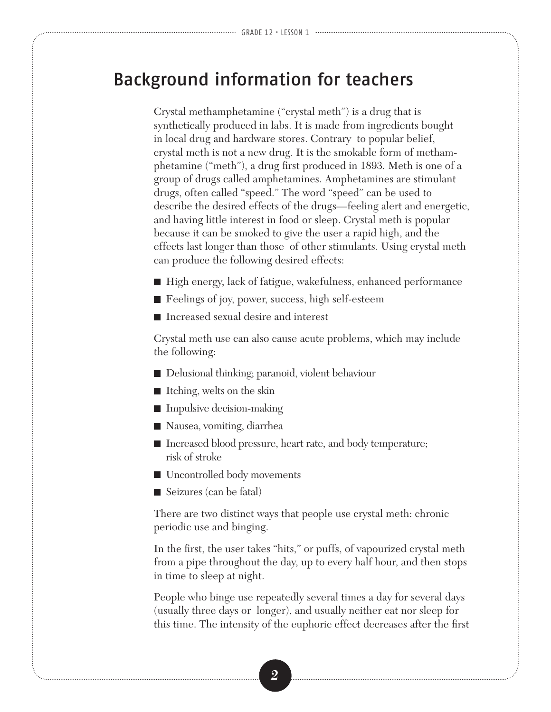### Background information for teachers

Crystal methamphetamine ("crystal meth") is a drug that is synthetically produced in labs. It is made from ingredients bought in local drug and hardware stores. Contrary to popular belief, crystal meth is not a new drug. It is the smokable form of methamphetamine ("meth"), a drug first produced in 1893. Meth is one of a group of drugs called amphetamines. Amphetamines are stimulant drugs, often called "speed." The word "speed" can be used to describe the desired effects of the drugs—feeling alert and energetic, and having little interest in food or sleep. Crystal meth is popular because it can be smoked to give the user a rapid high, and the effects last longer than those of other stimulants. Using crystal meth can produce the following desired effects:

- High energy, lack of fatigue, wakefulness, enhanced performance
- Feelings of joy, power, success, high self-esteem
- Increased sexual desire and interest

Crystal meth use can also cause acute problems, which may include the following:

- Delusional thinking; paranoid, violent behaviour
- Itching, welts on the skin
- Impulsive decision-making
- Nausea, vomiting, diarrhea
- Increased blood pressure, heart rate, and body temperature; risk of stroke
- Uncontrolled body movements
- Seizures (can be fatal)

There are two distinct ways that people use crystal meth: chronic periodic use and binging.

In the first, the user takes "hits," or puffs, of vapourized crystal meth from a pipe throughout the day, up to every half hour, and then stops in time to sleep at night.

People who binge use repeatedly several times a day for several days (usually three days or longer), and usually neither eat nor sleep for this time. The intensity of the euphoric effect decreases after the first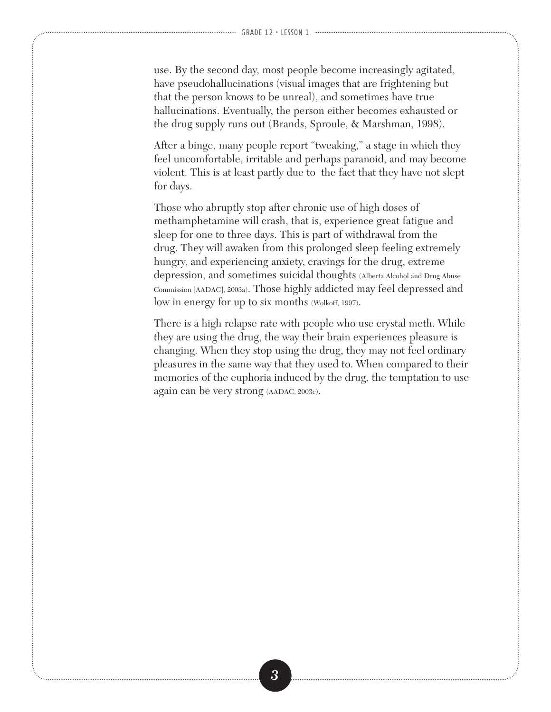use. By the second day, most people become increasingly agitated, have pseudohallucinations (visual images that are frightening but that the person knows to be unreal), and sometimes have true hallucinations. Eventually, the person either becomes exhausted or the drug supply runs out (Brands, Sproule, & Marshman, 1998).

After a binge, many people report "tweaking," a stage in which they feel uncomfortable, irritable and perhaps paranoid, and may become violent. This is at least partly due to the fact that they have not slept for days.

Those who abruptly stop after chronic use of high doses of methamphetamine will crash, that is, experience great fatigue and sleep for one to three days. This is part of withdrawal from the drug. They will awaken from this prolonged sleep feeling extremely hungry, and experiencing anxiety, cravings for the drug, extreme depression, and sometimes suicidal thoughts (Alberta Alcohol and Drug Abuse Commission [AADAC], 2003a). Those highly addicted may feel depressed and low in energy for up to six months (Wolkoff, 1997).

There is a high relapse rate with people who use crystal meth. While they are using the drug, the way their brain experiences pleasure is changing. When they stop using the drug, they may not feel ordinary pleasures in the same way that they used to. When compared to their memories of the euphoria induced by the drug, the temptation to use again can be very strong (AADAC, 2003c).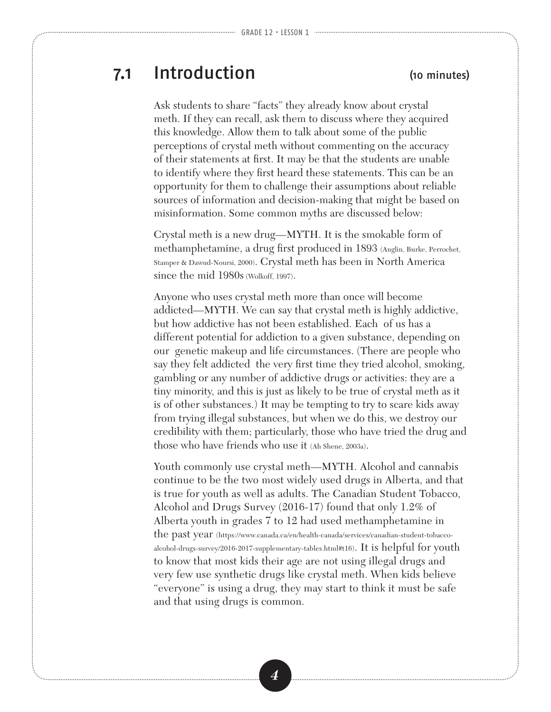## 7.1 Introduction (10 minutes)

Ask students to share "facts" they already know about crystal meth. If they can recall, ask them to discuss where they acquired this knowledge. Allow them to talk about some of the public perceptions of crystal meth without commenting on the accuracy of their statements at first. It may be that the students are unable to identify where they first heard these statements. This can be an opportunity for them to challenge their assumptions about reliable sources of information and decision-making that might be based on misinformation. Some common myths are discussed below:

Crystal meth is a new drug—MYTH. It is the smokable form of methamphetamine, a drug first produced in 1893 (Anglin, Burke, Perrochet, Stamper & Dawud-Noursi, 2000). Crystal meth has been in North America since the mid 1980s (Wolkoff, 1997).

Anyone who uses crystal meth more than once will become addicted—MYTH. We can say that crystal meth is highly addictive, but how addictive has not been established. Each of us has a different potential for addiction to a given substance, depending on our genetic makeup and life circumstances. (There are people who say they felt addicted the very first time they tried alcohol, smoking, gambling or any number of addictive drugs or activities: they are a tiny minority, and this is just as likely to be true of crystal meth as it is of other substances.) It may be tempting to try to scare kids away from trying illegal substances, but when we do this, we destroy our credibility with them; particularly, those who have tried the drug and those who have friends who use it (Ah Shene, 2003a).

Youth commonly use crystal meth—MYTH. Alcohol and cannabis continue to be the two most widely used drugs in Alberta, and that is true for youth as well as adults. The Canadian Student Tobacco, Alcohol and Drugs Survey (2016-17) found that only 1.2% of Alberta youth in grades 7 to 12 had used methamphetamine in the past year (https://www.canada.ca/en/health-canada/services/canadian-student-tobaccoalcohol-drugs-survey/2016-2017-supplementary-tables.html#t16). It is helpful for youth to know that most kids their age are not using illegal drugs and very few use synthetic drugs like crystal meth. When kids believe "everyone" is using a drug, they may start to think it must be safe and that using drugs is common.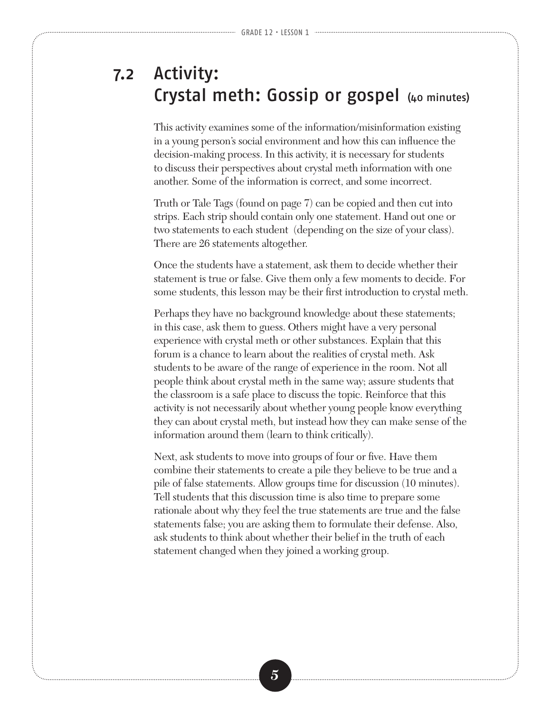## 7.2 Activity: Crystal meth: Gossip or gospel (40 minutes)

This activity examines some of the information/misinformation existing in a young person's social environment and how this can influence the decision-making process. In this activity, it is necessary for students to discuss their perspectives about crystal meth information with one another. Some of the information is correct, and some incorrect.

Truth or Tale Tags (found on page 7) can be copied and then cut into strips. Each strip should contain only one statement. Hand out one or two statements to each student (depending on the size of your class). There are 26 statements altogether.

Once the students have a statement, ask them to decide whether their statement is true or false. Give them only a few moments to decide. For some students, this lesson may be their first introduction to crystal meth.

Perhaps they have no background knowledge about these statements; in this case, ask them to guess. Others might have a very personal experience with crystal meth or other substances. Explain that this forum is a chance to learn about the realities of crystal meth. Ask students to be aware of the range of experience in the room. Not all people think about crystal meth in the same way; assure students that the classroom is a safe place to discuss the topic. Reinforce that this activity is not necessarily about whether young people know everything they can about crystal meth, but instead how they can make sense of the information around them (learn to think critically).

Next, ask students to move into groups of four or five. Have them combine their statements to create a pile they believe to be true and a pile of false statements. Allow groups time for discussion (10 minutes). Tell students that this discussion time is also time to prepare some rationale about why they feel the true statements are true and the false statements false; you are asking them to formulate their defense. Also, ask students to think about whether their belief in the truth of each statement changed when they joined a working group.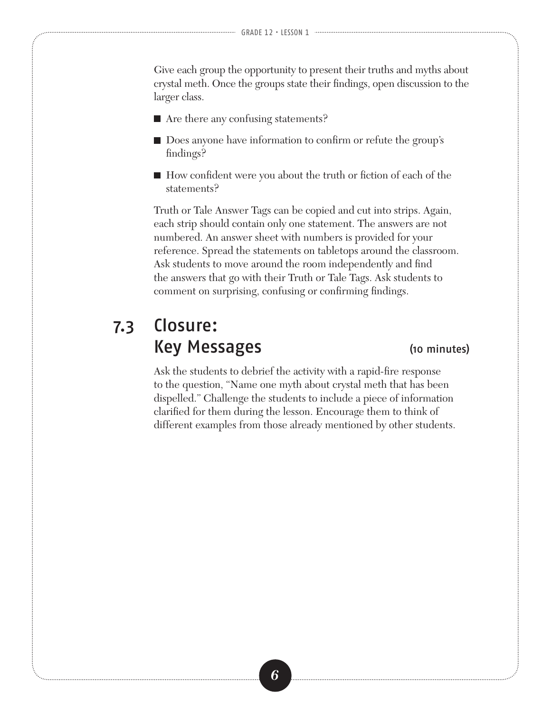Give each group the opportunity to present their truths and myths about crystal meth. Once the groups state their findings, open discussion to the larger class.

- Are there any confusing statements?
- Does anyone have information to confirm or refute the group's findings?
- How confident were you about the truth or fiction of each of the statements?

Truth or Tale Answer Tags can be copied and cut into strips. Again, each strip should contain only one statement. The answers are not numbered. An answer sheet with numbers is provided for your reference. Spread the statements on tabletops around the classroom. Ask students to move around the room independently and find the answers that go with their Truth or Tale Tags. Ask students to comment on surprising, confusing or confirming findings.

## 7.3 Closure: Key Messages (10 minutes)

Ask the students to debrief the activity with a rapid-fire response to the question, "Name one myth about crystal meth that has been dispelled." Challenge the students to include a piece of information clarified for them during the lesson. Encourage them to think of different examples from those already mentioned by other students.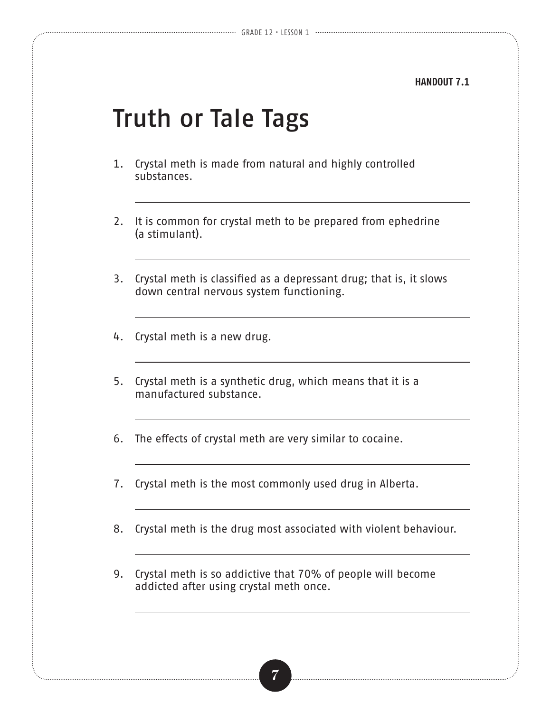### **HANDOUT 7.1**

# Truth or Tale Tags

- 1. Crystal meth is made from natural and highly controlled substances.
- 2. It is common for crystal meth to be prepared from ephedrine (a stimulant).
- 3. Crystal meth is classified as a depressant drug; that is, it slows down central nervous system functioning.
- 4. Crystal meth is a new drug.
- 5. Crystal meth is a synthetic drug, which means that it is a manufactured substance.
- 6. The effects of crystal meth are very similar to cocaine.
- 7. Crystal meth is the most commonly used drug in Alberta.
- 8. Crystal meth is the drug most associated with violent behaviour.
- 9. Crystal meth is so addictive that 70% of people will become addicted after using crystal meth once.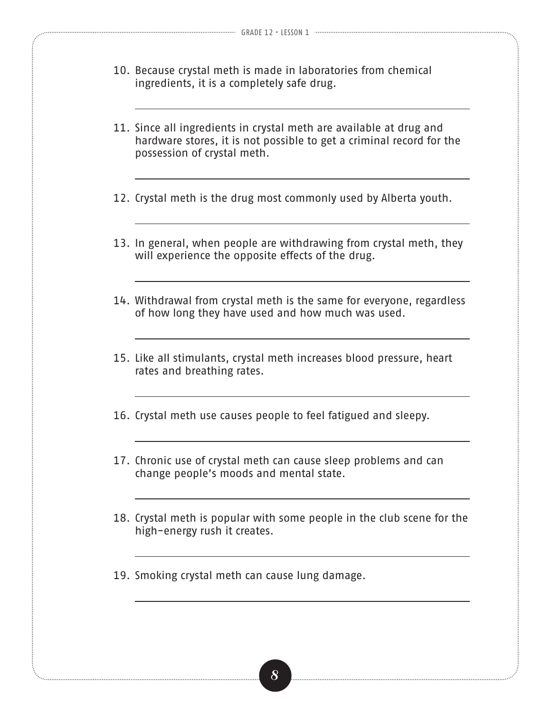- 10. Because crystal meth is made in laboratories from chemical ingredients, it is a completely safe drug.
- 11. Since all ingredients in crystal meth are available at drug and hardware stores, it is not possible to get a criminal record for the possession of crystal meth.
- 12. Crystal meth is the drug most commonly used by Alberta youth.
- 13. In general, when people are withdrawing from crystal meth, they will experience the opposite effects of the drug.
- 14. Withdrawal from crystal meth is the same for everyone, regardless of how long they have used and how much was used.
- 15. Like all stimulants, crystal meth increases blood pressure, heart rates and breathing rates.
- 16. Crystal meth use causes people to feel fatigued and sleepy.
- 17. Chronic use of crystal meth can cause sleep problems and can change people's moods and mental state.
- 18. Crystal meth is popular with some people in the club scene for the high-energy rush it creates.
- 19. Smoking crystal meth can cause lung damage.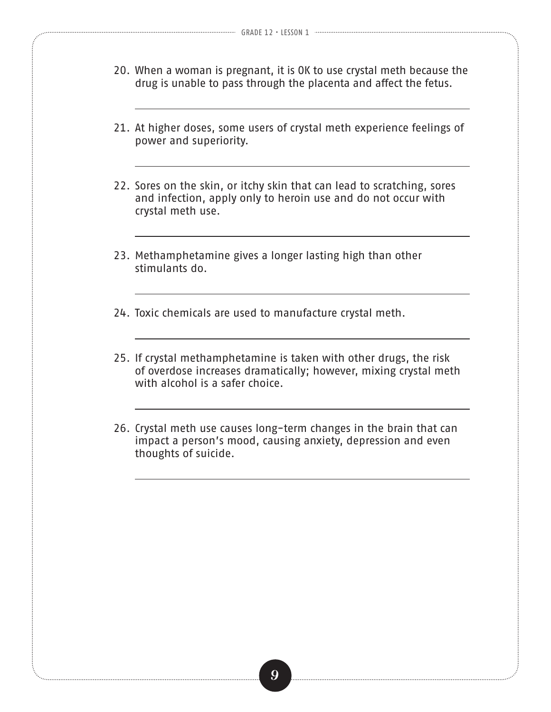- 20. When a woman is pregnant, it is OK to use crystal meth because the drug is unable to pass through the placenta and affect the fetus.
- 21. At higher doses, some users of crystal meth experience feelings of power and superiority.
- 22. Sores on the skin, or itchy skin that can lead to scratching, sores and infection, apply only to heroin use and do not occur with crystal meth use.
- 23. Methamphetamine gives a longer lasting high than other stimulants do.
- 24. Toxic chemicals are used to manufacture crystal meth.
- 25. If crystal methamphetamine is taken with other drugs, the risk of overdose increases dramatically; however, mixing crystal meth with alcohol is a safer choice.
- 26. Crystal meth use causes long-term changes in the brain that can impact a person's mood, causing anxiety, depression and even thoughts of suicide.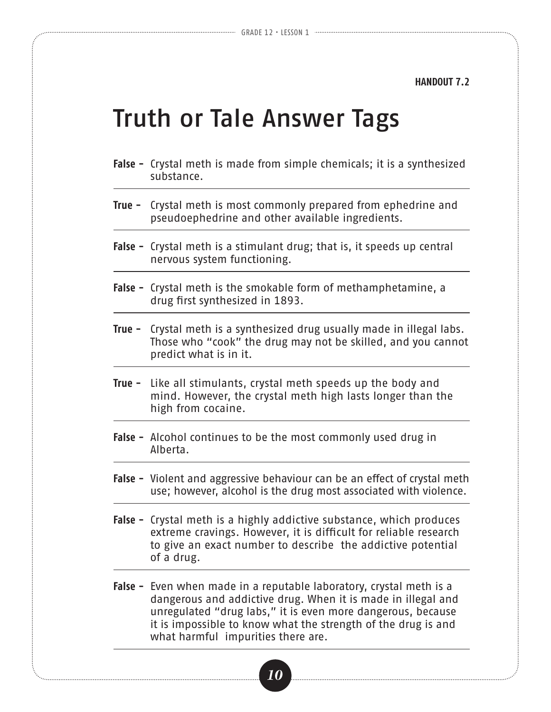**HANDOUT 7.2**

# Truth or Tale Answer Tags

- **False -** Crystal meth is made from simple chemicals; it is a synthesized substance.
- **True -** Crystal meth is most commonly prepared from ephedrine and pseudoephedrine and other available ingredients.
- **False -** Crystal meth is a stimulant drug; that is, it speeds up central nervous system functioning.
- **False -** Crystal meth is the smokable form of methamphetamine, a drug first synthesized in 1893.
- **True -** Crystal meth is a synthesized drug usually made in illegal labs. Those who "cook" the drug may not be skilled, and you cannot predict what is in it.
- **True -** Like all stimulants, crystal meth speeds up the body and mind. However, the crystal meth high lasts longer than the high from cocaine.
- **False -** Alcohol continues to be the most commonly used drug in Alberta.
- **False -** Violent and aggressive behaviour can be an effect of crystal meth use; however, alcohol is the drug most associated with violence.
- **False -** Crystal meth is a highly addictive substance, which produces extreme cravings. However, it is difficult for reliable research to give an exact number to describe the addictive potential of a drug.
- **False -** Even when made in a reputable laboratory, crystal meth is a dangerous and addictive drug. When it is made in illegal and unregulated "drug labs," it is even more dangerous, because it is impossible to know what the strength of the drug is and what harmful impurities there are.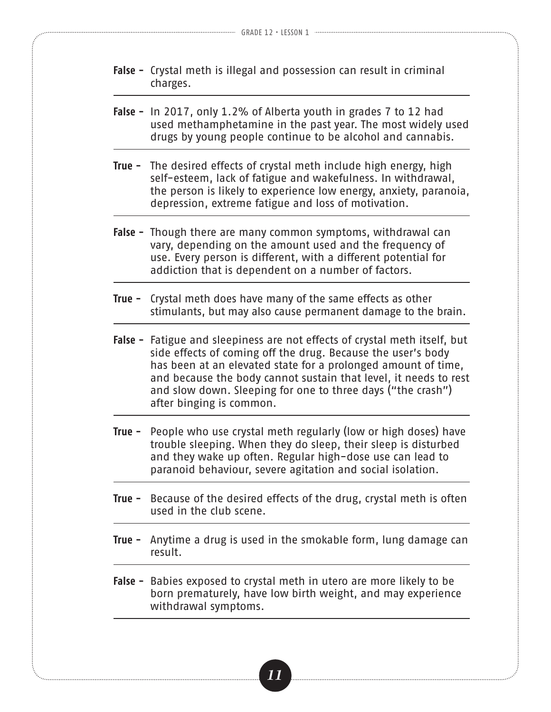- **False -** Crystal meth is illegal and possession can result in criminal charges.
- **False -** In 2017, only 1.2% of Alberta youth in grades 7 to 12 had used methamphetamine in the past year. The most widely used drugs by young people continue to be alcohol and cannabis.
- **True -** The desired effects of crystal meth include high energy, high self-esteem, lack of fatigue and wakefulness. In withdrawal, the person is likely to experience low energy, anxiety, paranoia, depression, extreme fatigue and loss of motivation.
- **False -** Though there are many common symptoms, withdrawal can vary, depending on the amount used and the frequency of use. Every person is different, with a different potential for addiction that is dependent on a number of factors.
- **True -** Crystal meth does have many of the same effects as other stimulants, but may also cause permanent damage to the brain.
- **False -** Fatigue and sleepiness are not effects of crystal meth itself, but side effects of coming off the drug. Because the user's body has been at an elevated state for a prolonged amount of time, and because the body cannot sustain that level, it needs to rest and slow down. Sleeping for one to three days ("the crash") after binging is common.
- **True -** People who use crystal meth regularly (low or high doses) have trouble sleeping. When they do sleep, their sleep is disturbed and they wake up often. Regular high-dose use can lead to paranoid behaviour, severe agitation and social isolation.
- **True -** Because of the desired effects of the drug, crystal meth is often used in the club scene.
- **True -** Anytime a drug is used in the smokable form, lung damage can result.
- **False -** Babies exposed to crystal meth in utero are more likely to be born prematurely, have low birth weight, and may experience withdrawal symptoms.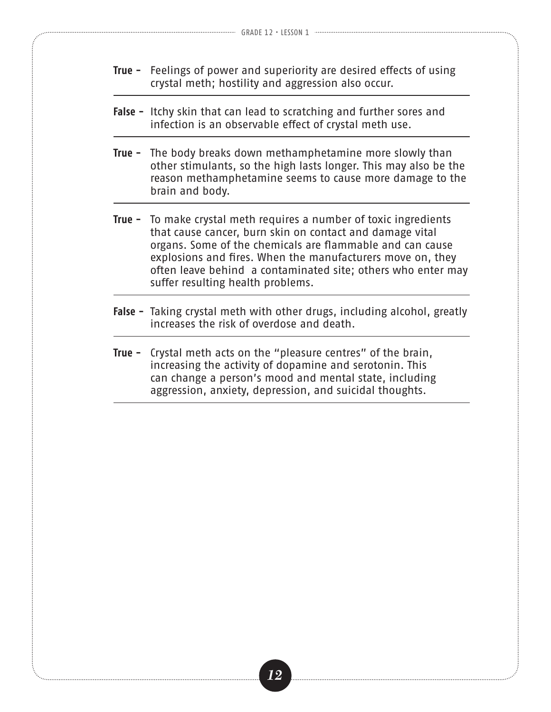- **True -** Feelings of power and superiority are desired effects of using crystal meth; hostility and aggression also occur.
- **False -** Itchy skin that can lead to scratching and further sores and infection is an observable effect of crystal meth use.
- **True -** The body breaks down methamphetamine more slowly than other stimulants, so the high lasts longer. This may also be the reason methamphetamine seems to cause more damage to the brain and body.
- **True -** To make crystal meth requires a number of toxic ingredients that cause cancer, burn skin on contact and damage vital organs. Some of the chemicals are flammable and can cause explosions and fires. When the manufacturers move on, they often leave behind a contaminated site; others who enter may suffer resulting health problems.
- **False -** Taking crystal meth with other drugs, including alcohol, greatly increases the risk of overdose and death.
- **True -** Crystal meth acts on the "pleasure centres" of the brain, increasing the activity of dopamine and serotonin. This can change a person's mood and mental state, including aggression, anxiety, depression, and suicidal thoughts.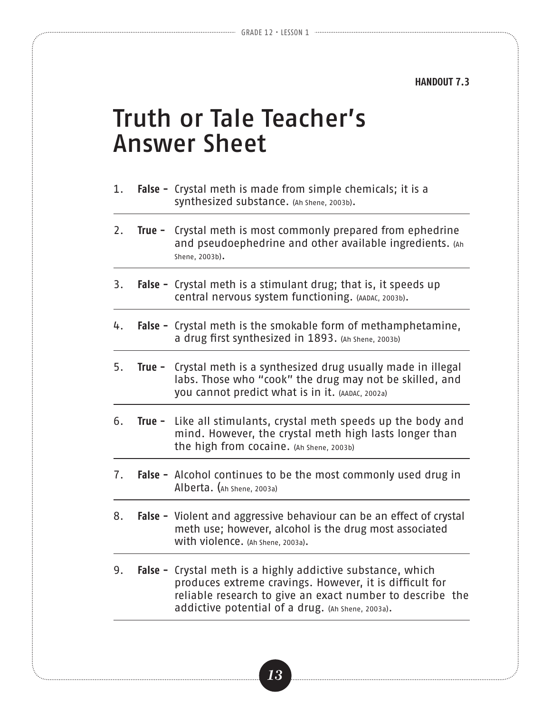**HANDOUT 7.3**

# Truth or Tale Teacher's Answer Sheet

- 1. **False -** Crystal meth is made from simple chemicals; it is a synthesized substance. (Ah Shene, 2003b).
- 2. **True -** Crystal meth is most commonly prepared from ephedrine and pseudoephedrine and other available ingredients. (Ah Shene, 2003b).
- 3. **False -** Crystal meth is a stimulant drug; that is, it speeds up central nervous system functioning. (AADAC, 2003b).
- 4. **False -** Crystal meth is the smokable form of methamphetamine, a drug first synthesized in 1893. (Ah Shene, 2003b)
- 5. **True -** Crystal meth is a synthesized drug usually made in illegal labs. Those who "cook" the drug may not be skilled, and you cannot predict what is in it. (AADAC, 2002a)
- 6. **True -** Like all stimulants, crystal meth speeds up the body and mind. However, the crystal meth high lasts longer than the high from cocaine. (Ah Shene, 2003b)
- 7. **False -** Alcohol continues to be the most commonly used drug in Alberta. (Ah Shene, 2003a)
- 8. **False -** Violent and aggressive behaviour can be an effect of crystal meth use; however, alcohol is the drug most associated with violence. (Ah Shene, 2003a).
- 9. **False -** Crystal meth is a highly addictive substance, which produces extreme cravings. However, it is difficult for reliable research to give an exact number to describe the addictive potential of a drug. (Ah Shene, 2003a).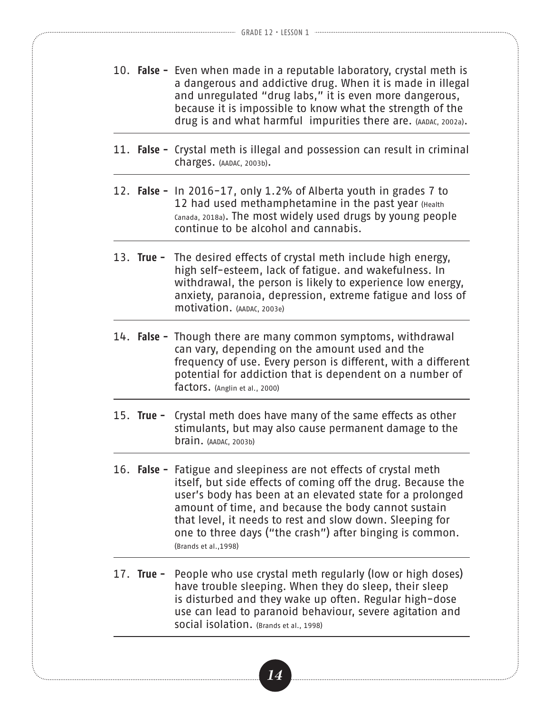- 10. **False -** Even when made in a reputable laboratory, crystal meth is a dangerous and addictive drug. When it is made in illegal and unregulated "drug labs," it is even more dangerous, because it is impossible to know what the strength of the drug is and what harmful impurities there are. (AADAC, 2002a).
- 11. **False -** Crystal meth is illegal and possession can result in criminal charges. (AADAC, 2003b).
- 12. **False -** In 2016-17, only 1.2% of Alberta youth in grades 7 to 12 had used methamphetamine in the past year (Health Canada, 2018a). The most widely used drugs by young people continue to be alcohol and cannabis.
- 13. **True -** The desired effects of crystal meth include high energy, high self-esteem, lack of fatigue. and wakefulness. In withdrawal, the person is likely to experience low energy, anxiety, paranoia, depression, extreme fatigue and loss of motivation. (AADAC, 2003e)
- 14. **False -** Though there are many common symptoms, withdrawal can vary, depending on the amount used and the frequency of use. Every person is different, with a different potential for addiction that is dependent on a number of factors. (Anglin et al., 2000)
- 15. **True -** Crystal meth does have many of the same effects as other stimulants, but may also cause permanent damage to the brain. (AADAC, 2003b)
- 16. **False -** Fatigue and sleepiness are not effects of crystal meth itself, but side effects of coming off the drug. Because the user's body has been at an elevated state for a prolonged amount of time, and because the body cannot sustain that level, it needs to rest and slow down. Sleeping for one to three days ("the crash") after binging is common. (Brands et al.,1998)
- 17. **True -** People who use crystal meth regularly (low or high doses) have trouble sleeping. When they do sleep, their sleep is disturbed and they wake up often. Regular high-dose use can lead to paranoid behaviour, severe agitation and social isolation. (Brands et al., 1998)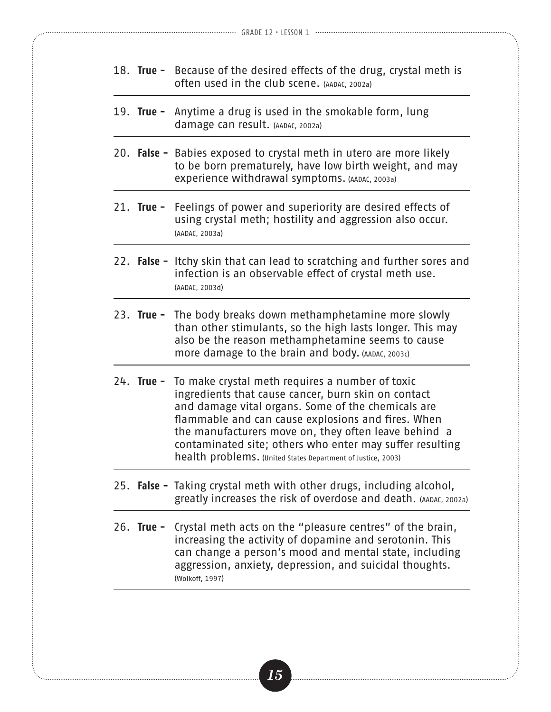- 18. **True -** Because of the desired effects of the drug, crystal meth is often used in the club scene. (AADAC, 2002a)
- 19. **True -** Anytime a drug is used in the smokable form, lung damage can result. (AADAC, 2002a)
- 20. **False -** Babies exposed to crystal meth in utero are more likely to be born prematurely, have low birth weight, and may experience withdrawal symptoms. (AADAC, 2003a)
- 21. **True -** Feelings of power and superiority are desired effects of using crystal meth; hostility and aggression also occur. (AADAC, 2003a)
- 22. **False -** Itchy skin that can lead to scratching and further sores and infection is an observable effect of crystal meth use. (AADAC, 2003d)
- 23. **True -** The body breaks down methamphetamine more slowly than other stimulants, so the high lasts longer. This may also be the reason methamphetamine seems to cause more damage to the brain and body. (AADAC, 2003c)
- 24. **True -** To make crystal meth requires a number of toxic ingredients that cause cancer, burn skin on contact and damage vital organs. Some of the chemicals are flammable and can cause explosions and fires. When the manufacturers move on, they often leave behind a contaminated site; others who enter may suffer resulting health problems. (United States Department of Justice, 2003)
- 25. **False -** Taking crystal meth with other drugs, including alcohol, greatly increases the risk of overdose and death. (AADAC, 2002a)
- 26. **True -** Crystal meth acts on the "pleasure centres" of the brain, increasing the activity of dopamine and serotonin. This can change a person's mood and mental state, including aggression, anxiety, depression, and suicidal thoughts. (Wolkoff, 1997)